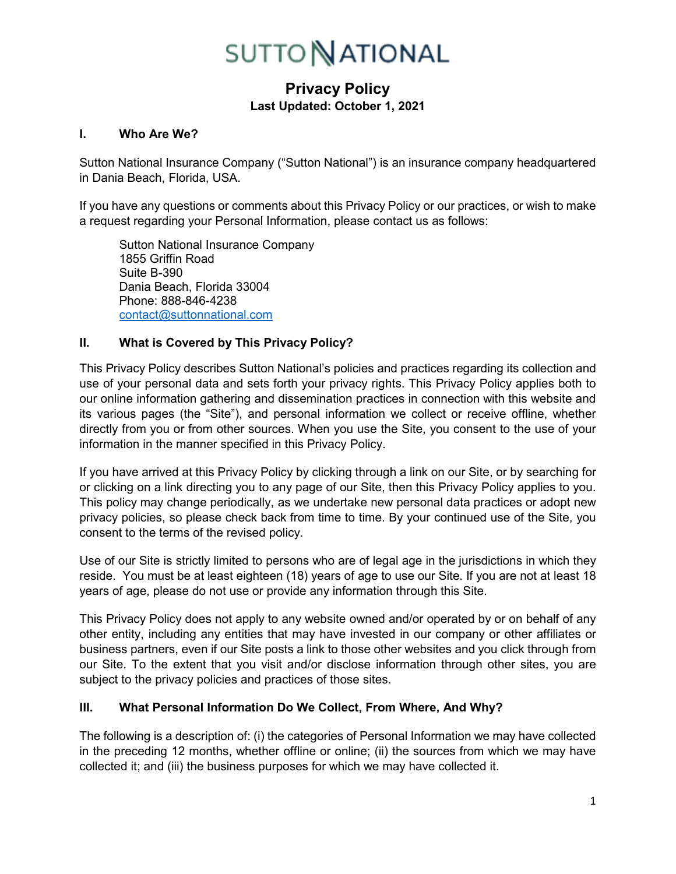# **Privacy Policy Last Updated: October 1, 2021**

#### **I. Who Are We?**

Sutton National Insurance Company ("Sutton National") is an insurance company headquartered in Dania Beach, Florida, USA.

If you have any questions or comments about this Privacy Policy or our practices, or wish to make a request regarding your Personal Information, please contact us as follows:

Sutton National Insurance Company 1855 Griffin Road Suite B-390 Dania Beach, Florida 33004 Phone: 888-846-4238 [contact@suttonnational.com](mailto:contact@suttonnational.com)

### **II. What is Covered by This Privacy Policy?**

This Privacy Policy describes Sutton National's policies and practices regarding its collection and use of your personal data and sets forth your privacy rights. This Privacy Policy applies both to our online information gathering and dissemination practices in connection with this website and its various pages (the "Site"), and personal information we collect or receive offline, whether directly from you or from other sources. When you use the Site, you consent to the use of your information in the manner specified in this Privacy Policy.

If you have arrived at this Privacy Policy by clicking through a link on our Site, or by searching for or clicking on a link directing you to any page of our Site, then this Privacy Policy applies to you. This policy may change periodically, as we undertake new personal data practices or adopt new privacy policies, so please check back from time to time. By your continued use of the Site, you consent to the terms of the revised policy.

Use of our Site is strictly limited to persons who are of legal age in the jurisdictions in which they reside. You must be at least eighteen (18) years of age to use our Site. If you are not at least 18 years of age, please do not use or provide any information through this Site.

This Privacy Policy does not apply to any website owned and/or operated by or on behalf of any other entity, including any entities that may have invested in our company or other affiliates or business partners, even if our Site posts a link to those other websites and you click through from our Site. To the extent that you visit and/or disclose information through other sites, you are subject to the privacy policies and practices of those sites.

## **III. What Personal Information Do We Collect, From Where, And Why?**

The following is a description of: (i) the categories of Personal Information we may have collected in the preceding 12 months, whether offline or online; (ii) the sources from which we may have collected it; and (iii) the business purposes for which we may have collected it.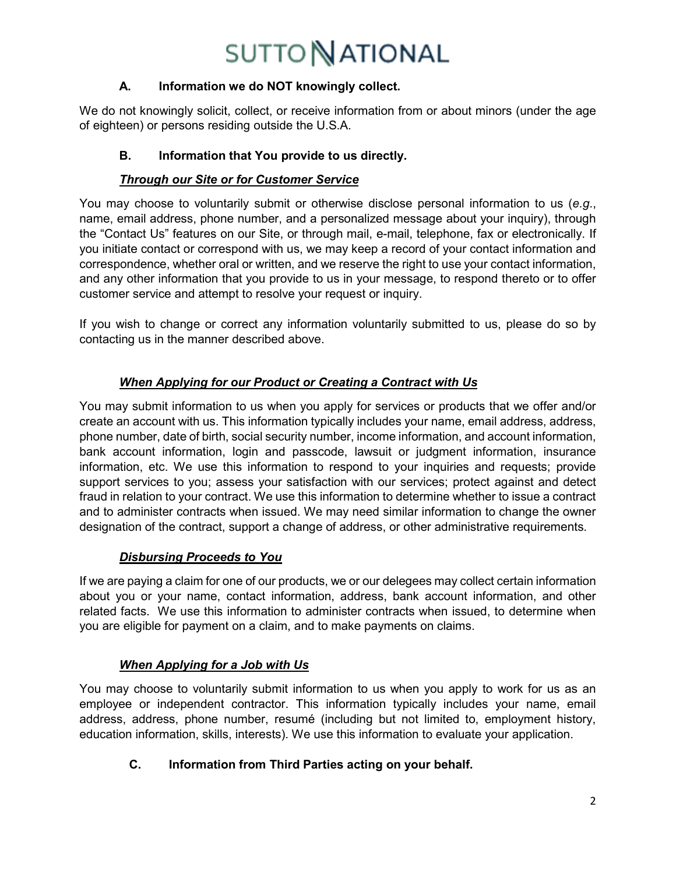## **A. Information we do NOT knowingly collect.**

We do not knowingly solicit, collect, or receive information from or about minors (under the age of eighteen) or persons residing outside the U.S.A.

## **B. Information that You provide to us directly.**

## *Through our Site or for Customer Service*

You may choose to voluntarily submit or otherwise disclose personal information to us (*e.g*., name, email address, phone number, and a personalized message about your inquiry), through the "Contact Us" features on our Site, or through mail, e-mail, telephone, fax or electronically. If you initiate contact or correspond with us, we may keep a record of your contact information and correspondence, whether oral or written, and we reserve the right to use your contact information, and any other information that you provide to us in your message, to respond thereto or to offer customer service and attempt to resolve your request or inquiry.

If you wish to change or correct any information voluntarily submitted to us, please do so by contacting us in the manner described above.

# *When Applying for our Product or Creating a Contract with Us*

You may submit information to us when you apply for services or products that we offer and/or create an account with us. This information typically includes your name, email address, address, phone number, date of birth, social security number, income information, and account information, bank account information, login and passcode, lawsuit or judgment information, insurance information, etc. We use this information to respond to your inquiries and requests; provide support services to you; assess your satisfaction with our services; protect against and detect fraud in relation to your contract. We use this information to determine whether to issue a contract and to administer contracts when issued. We may need similar information to change the owner designation of the contract, support a change of address, or other administrative requirements.

## *Disbursing Proceeds to You*

If we are paying a claim for one of our products, we or our delegees may collect certain information about you or your name, contact information, address, bank account information, and other related facts. We use this information to administer contracts when issued, to determine when you are eligible for payment on a claim, and to make payments on claims.

## *When Applying for a Job with Us*

You may choose to voluntarily submit information to us when you apply to work for us as an employee or independent contractor. This information typically includes your name, email address, address, phone number, resumé (including but not limited to, employment history, education information, skills, interests). We use this information to evaluate your application.

# **C. Information from Third Parties acting on your behalf.**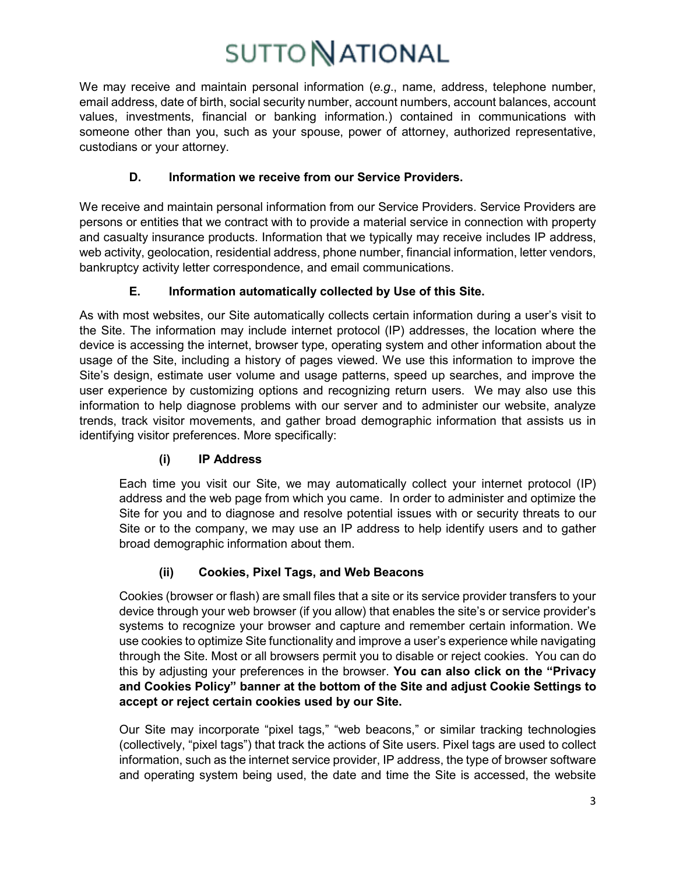We may receive and maintain personal information (*e.g*., name, address, telephone number, email address, date of birth, social security number, account numbers, account balances, account values, investments, financial or banking information.) contained in communications with someone other than you, such as your spouse, power of attorney, authorized representative, custodians or your attorney.

# **D. Information we receive from our Service Providers.**

We receive and maintain personal information from our Service Providers. Service Providers are persons or entities that we contract with to provide a material service in connection with property and casualty insurance products. Information that we typically may receive includes IP address, web activity, geolocation, residential address, phone number, financial information, letter vendors, bankruptcy activity letter correspondence, and email communications.

## **E. Information automatically collected by Use of this Site.**

As with most websites, our Site automatically collects certain information during a user's visit to the Site. The information may include internet protocol (IP) addresses, the location where the device is accessing the internet, browser type, operating system and other information about the usage of the Site, including a history of pages viewed. We use this information to improve the Site's design, estimate user volume and usage patterns, speed up searches, and improve the user experience by customizing options and recognizing return users. We may also use this information to help diagnose problems with our server and to administer our website, analyze trends, track visitor movements, and gather broad demographic information that assists us in identifying visitor preferences. More specifically:

# **(i) IP Address**

Each time you visit our Site, we may automatically collect your internet protocol (IP) address and the web page from which you came. In order to administer and optimize the Site for you and to diagnose and resolve potential issues with or security threats to our Site or to the company, we may use an IP address to help identify users and to gather broad demographic information about them.

# **(ii) Cookies, Pixel Tags, and Web Beacons**

Cookies (browser or flash) are small files that a site or its service provider transfers to your device through your web browser (if you allow) that enables the site's or service provider's systems to recognize your browser and capture and remember certain information. We use cookies to optimize Site functionality and improve a user's experience while navigating through the Site. Most or all browsers permit you to disable or reject cookies. You can do this by adjusting your preferences in the browser. **You can also click on the "Privacy and Cookies Policy" banner at the bottom of the Site and adjust Cookie Settings to accept or reject certain cookies used by our Site.**

Our Site may incorporate "pixel tags," "web beacons," or similar tracking technologies (collectively, "pixel tags") that track the actions of Site users. Pixel tags are used to collect information, such as the internet service provider, IP address, the type of browser software and operating system being used, the date and time the Site is accessed, the website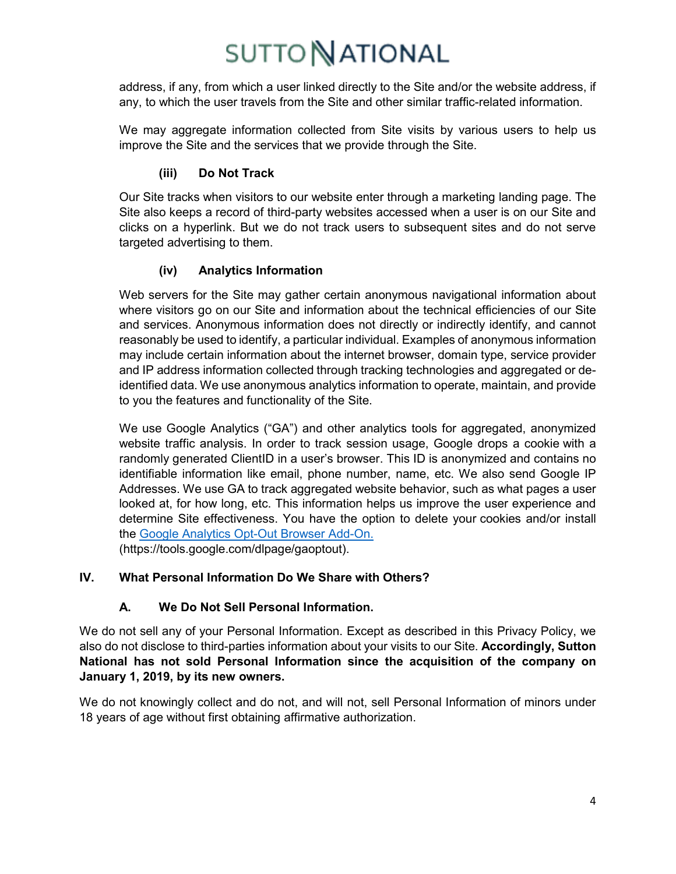address, if any, from which a user linked directly to the Site and/or the website address, if any, to which the user travels from the Site and other similar traffic-related information.

We may aggregate information collected from Site visits by various users to help us improve the Site and the services that we provide through the Site.

## **(iii) Do Not Track**

Our Site tracks when visitors to our website enter through a marketing landing page. The Site also keeps a record of third-party websites accessed when a user is on our Site and clicks on a hyperlink. But we do not track users to subsequent sites and do not serve targeted advertising to them.

## **(iv) Analytics Information**

Web servers for the Site may gather certain anonymous navigational information about where visitors go on our Site and information about the technical efficiencies of our Site and services. Anonymous information does not directly or indirectly identify, and cannot reasonably be used to identify, a particular individual. Examples of anonymous information may include certain information about the internet browser, domain type, service provider and IP address information collected through tracking technologies and aggregated or deidentified data. We use anonymous analytics information to operate, maintain, and provide to you the features and functionality of the Site.

We use Google Analytics ("GA") and other analytics tools for aggregated, anonymized website traffic analysis. In order to track session usage, Google drops a cookie with a randomly generated ClientID in a user's browser. This ID is anonymized and contains no identifiable information like email, phone number, name, etc. We also send Google IP Addresses. We use GA to track aggregated website behavior, such as what pages a user looked at, for how long, etc. This information helps us improve the user experience and determine Site effectiveness. You have the option to delete your cookies and/or install the [Google Analytics Opt-Out Browser Add-On.](https://tools.google.com/dlpage/gaoptout) (https://tools.google.com/dlpage/gaoptout).

## **IV. What Personal Information Do We Share with Others?**

# **A. We Do Not Sell Personal Information.**

We do not sell any of your Personal Information. Except as described in this Privacy Policy, we also do not disclose to third-parties information about your visits to our Site. **Accordingly, Sutton National has not sold Personal Information since the acquisition of the company on January 1, 2019, by its new owners.**

We do not knowingly collect and do not, and will not, sell Personal Information of minors under 18 years of age without first obtaining affirmative authorization.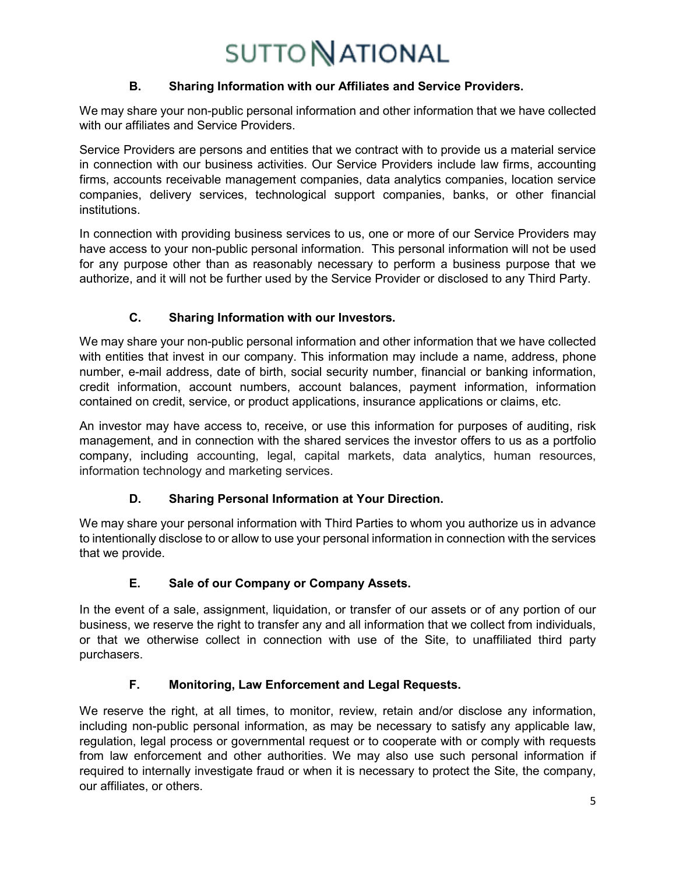## **B. Sharing Information with our Affiliates and Service Providers.**

We may share your non-public personal information and other information that we have collected with our affiliates and Service Providers.

Service Providers are persons and entities that we contract with to provide us a material service in connection with our business activities. Our Service Providers include law firms, accounting firms, accounts receivable management companies, data analytics companies, location service companies, delivery services, technological support companies, banks, or other financial institutions.

In connection with providing business services to us, one or more of our Service Providers may have access to your non-public personal information. This personal information will not be used for any purpose other than as reasonably necessary to perform a business purpose that we authorize, and it will not be further used by the Service Provider or disclosed to any Third Party.

# **C. Sharing Information with our Investors.**

We may share your non-public personal information and other information that we have collected with entities that invest in our company. This information may include a name, address, phone number, e-mail address, date of birth, social security number, financial or banking information, credit information, account numbers, account balances, payment information, information contained on credit, service, or product applications, insurance applications or claims, etc.

An investor may have access to, receive, or use this information for purposes of auditing, risk management, and in connection with the shared services the investor offers to us as a portfolio company, including accounting, legal, capital markets, data analytics, human resources, information technology and marketing services.

# **D. Sharing Personal Information at Your Direction.**

We may share your personal information with Third Parties to whom you authorize us in advance to intentionally disclose to or allow to use your personal information in connection with the services that we provide.

# **E. Sale of our Company or Company Assets.**

In the event of a sale, assignment, liquidation, or transfer of our assets or of any portion of our business, we reserve the right to transfer any and all information that we collect from individuals, or that we otherwise collect in connection with use of the Site, to unaffiliated third party purchasers.

# **F. Monitoring, Law Enforcement and Legal Requests.**

We reserve the right, at all times, to monitor, review, retain and/or disclose any information, including non-public personal information, as may be necessary to satisfy any applicable law, regulation, legal process or governmental request or to cooperate with or comply with requests from law enforcement and other authorities. We may also use such personal information if required to internally investigate fraud or when it is necessary to protect the Site, the company, our affiliates, or others.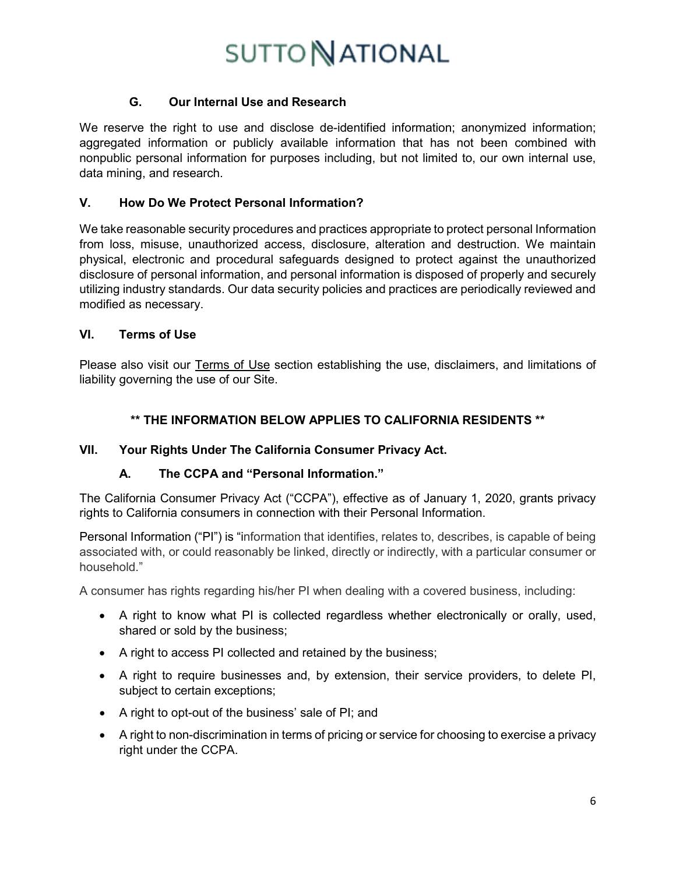## **G. Our Internal Use and Research**

We reserve the right to use and disclose de-identified information; anonymized information; aggregated information or publicly available information that has not been combined with nonpublic personal information for purposes including, but not limited to, our own internal use, data mining, and research.

## **V. How Do We Protect Personal Information?**

We take reasonable security procedures and practices appropriate to protect personal Information from loss, misuse, unauthorized access, disclosure, alteration and destruction. We maintain physical, electronic and procedural safeguards designed to protect against the unauthorized disclosure of personal information, and personal information is disposed of properly and securely utilizing industry standards. Our data security policies and practices are periodically reviewed and modified as necessary.

### **VI. Terms of Use**

Please also visit our Terms of Use section establishing the use, disclaimers, and limitations of liability governing the use of our Site.

### **\*\* THE INFORMATION BELOW APPLIES TO CALIFORNIA RESIDENTS \*\***

#### **VII. Your Rights Under The California Consumer Privacy Act.**

## **A. The CCPA and "Personal Information."**

The California Consumer Privacy Act ("CCPA"), effective as of January 1, 2020, grants privacy rights to California consumers in connection with their Personal Information.

Personal Information ("PI") is "information that identifies, relates to, describes, is capable of being associated with, or could reasonably be linked, directly or indirectly, with a particular consumer or household."

A consumer has rights regarding his/her PI when dealing with a covered business, including:

- A right to know what PI is collected regardless whether electronically or orally, used, shared or sold by the business;
- A right to access PI collected and retained by the business;
- A right to require businesses and, by extension, their service providers, to delete PI, subject to certain exceptions;
- A right to opt-out of the business' sale of PI; and
- A right to non-discrimination in terms of pricing or service for choosing to exercise a privacy right under the CCPA.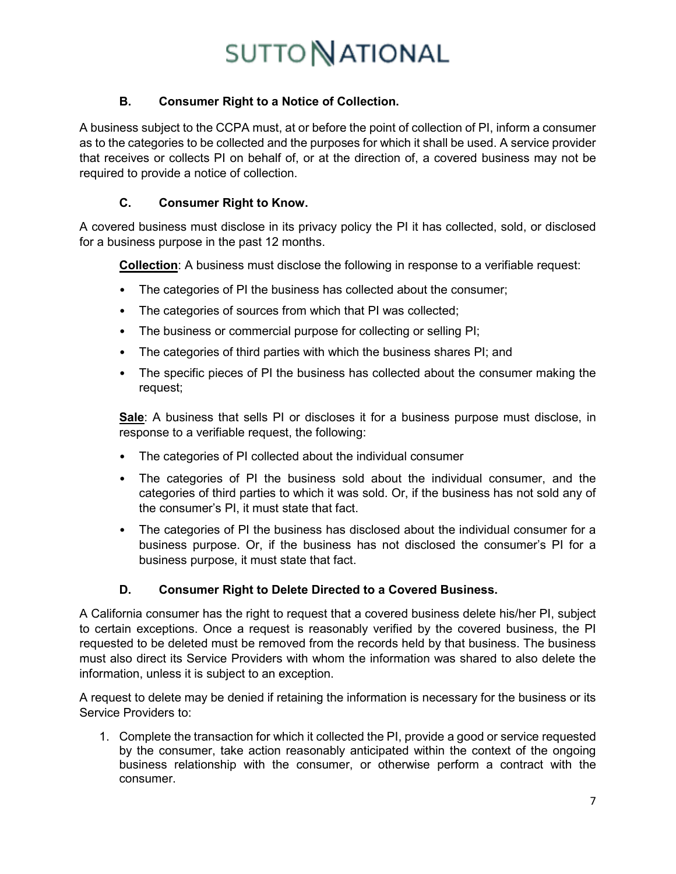## **B. Consumer Right to a Notice of Collection.**

A business subject to the CCPA must, at or before the point of collection of PI, inform a consumer as to the categories to be collected and the purposes for which it shall be used. A service provider that receives or collects PI on behalf of, or at the direction of, a covered business may not be required to provide a notice of collection.

## **C. Consumer Right to Know.**

A covered business must disclose in its privacy policy the PI it has collected, sold, or disclosed for a business purpose in the past 12 months.

**Collection**: A business must disclose the following in response to a verifiable request:

- The categories of PI the business has collected about the consumer;
- The categories of sources from which that PI was collected;
- The business or commercial purpose for collecting or selling PI;
- The categories of third parties with which the business shares PI; and
- The specific pieces of PI the business has collected about the consumer making the request;

**Sale**: A business that sells PI or discloses it for a business purpose must disclose, in response to a verifiable request, the following:

- The categories of PI collected about the individual consumer
- The categories of PI the business sold about the individual consumer, and the categories of third parties to which it was sold. Or, if the business has not sold any of the consumer's PI, it must state that fact.
- The categories of PI the business has disclosed about the individual consumer for a business purpose. Or, if the business has not disclosed the consumer's PI for a business purpose, it must state that fact.

## **D. Consumer Right to Delete Directed to a Covered Business.**

A California consumer has the right to request that a covered business delete his/her PI, subject to certain exceptions. Once a request is reasonably verified by the covered business, the PI requested to be deleted must be removed from the records held by that business. The business must also direct its Service Providers with whom the information was shared to also delete the information, unless it is subject to an exception.

A request to delete may be denied if retaining the information is necessary for the business or its Service Providers to:

1. Complete the transaction for which it collected the PI, provide a good or service requested by the consumer, take action reasonably anticipated within the context of the ongoing business relationship with the consumer, or otherwise perform a contract with the consumer.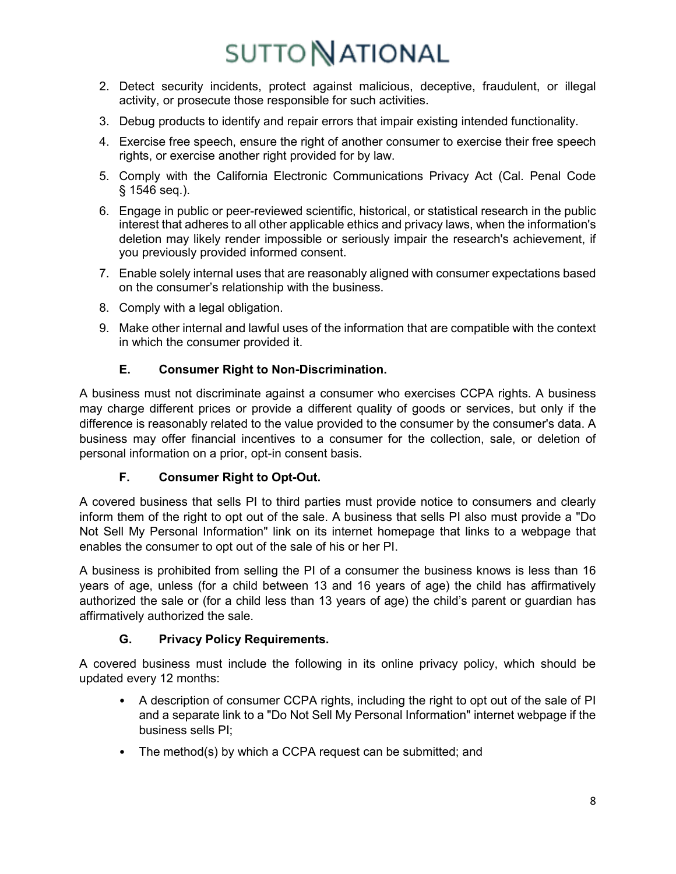- 2. Detect security incidents, protect against malicious, deceptive, fraudulent, or illegal activity, or prosecute those responsible for such activities.
- 3. Debug products to identify and repair errors that impair existing intended functionality.
- 4. Exercise free speech, ensure the right of another consumer to exercise their free speech rights, or exercise another right provided for by law.
- 5. Comply with the California Electronic Communications Privacy Act (Cal. Penal Code § 1546 seq.).
- 6. Engage in public or peer-reviewed scientific, historical, or statistical research in the public interest that adheres to all other applicable ethics and privacy laws, when the information's deletion may likely render impossible or seriously impair the research's achievement, if you previously provided informed consent.
- 7. Enable solely internal uses that are reasonably aligned with consumer expectations based on the consumer's relationship with the business.
- 8. Comply with a legal obligation.
- 9. Make other internal and lawful uses of the information that are compatible with the context in which the consumer provided it.

## **E. Consumer Right to Non-Discrimination.**

A business must not discriminate against a consumer who exercises CCPA rights. A business may charge different prices or provide a different quality of goods or services, but only if the difference is reasonably related to the value provided to the consumer by the consumer's data. A business may offer financial incentives to a consumer for the collection, sale, or deletion of personal information on a prior, opt-in consent basis.

## **F. Consumer Right to Opt-Out.**

A covered business that sells PI to third parties must provide notice to consumers and clearly inform them of the right to opt out of the sale. A business that sells PI also must provide a "Do Not Sell My Personal Information" link on its internet homepage that links to a webpage that enables the consumer to opt out of the sale of his or her PI.

A business is prohibited from selling the PI of a consumer the business knows is less than 16 years of age, unless (for a child between 13 and 16 years of age) the child has affirmatively authorized the sale or (for a child less than 13 years of age) the child's parent or guardian has affirmatively authorized the sale.

# **G. Privacy Policy Requirements.**

A covered business must include the following in its online privacy policy, which should be updated every 12 months:

- A description of consumer CCPA rights, including the right to opt out of the sale of PI and a separate link to a "Do Not Sell My Personal Information" internet webpage if the business sells PI;
- The method(s) by which a CCPA request can be submitted; and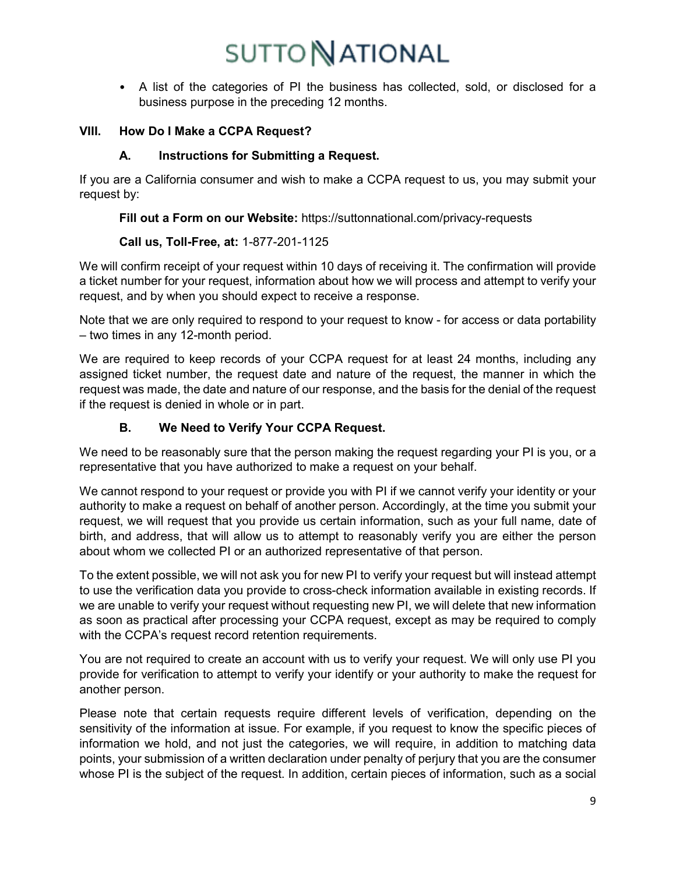• A list of the categories of PI the business has collected, sold, or disclosed for a business purpose in the preceding 12 months.

## **VIII. How Do I Make a CCPA Request?**

## **A. Instructions for Submitting a Request.**

If you are a California consumer and wish to make a CCPA request to us, you may submit your request by:

**Fill out a Form on our Website:** https://suttonnational.com/privacy-requests

## **Call us, Toll-Free, at:** 1-877-201-1125

We will confirm receipt of your request within 10 days of receiving it. The confirmation will provide a ticket number for your request, information about how we will process and attempt to verify your request, and by when you should expect to receive a response.

Note that we are only required to respond to your request to know - for access or data portability – two times in any 12-month period.

We are required to keep records of your CCPA request for at least 24 months, including any assigned ticket number, the request date and nature of the request, the manner in which the request was made, the date and nature of our response, and the basis for the denial of the request if the request is denied in whole or in part.

# **B. We Need to Verify Your CCPA Request.**

We need to be reasonably sure that the person making the request regarding your PI is you, or a representative that you have authorized to make a request on your behalf.

We cannot respond to your request or provide you with PI if we cannot verify your identity or your authority to make a request on behalf of another person. Accordingly, at the time you submit your request, we will request that you provide us certain information, such as your full name, date of birth, and address, that will allow us to attempt to reasonably verify you are either the person about whom we collected PI or an authorized representative of that person.

To the extent possible, we will not ask you for new PI to verify your request but will instead attempt to use the verification data you provide to cross-check information available in existing records. If we are unable to verify your request without requesting new PI, we will delete that new information as soon as practical after processing your CCPA request, except as may be required to comply with the CCPA's request record retention requirements.

You are not required to create an account with us to verify your request. We will only use PI you provide for verification to attempt to verify your identify or your authority to make the request for another person.

Please note that certain requests require different levels of verification, depending on the sensitivity of the information at issue. For example, if you request to know the specific pieces of information we hold, and not just the categories, we will require, in addition to matching data points, your submission of a written declaration under penalty of perjury that you are the consumer whose PI is the subject of the request. In addition, certain pieces of information, such as a social